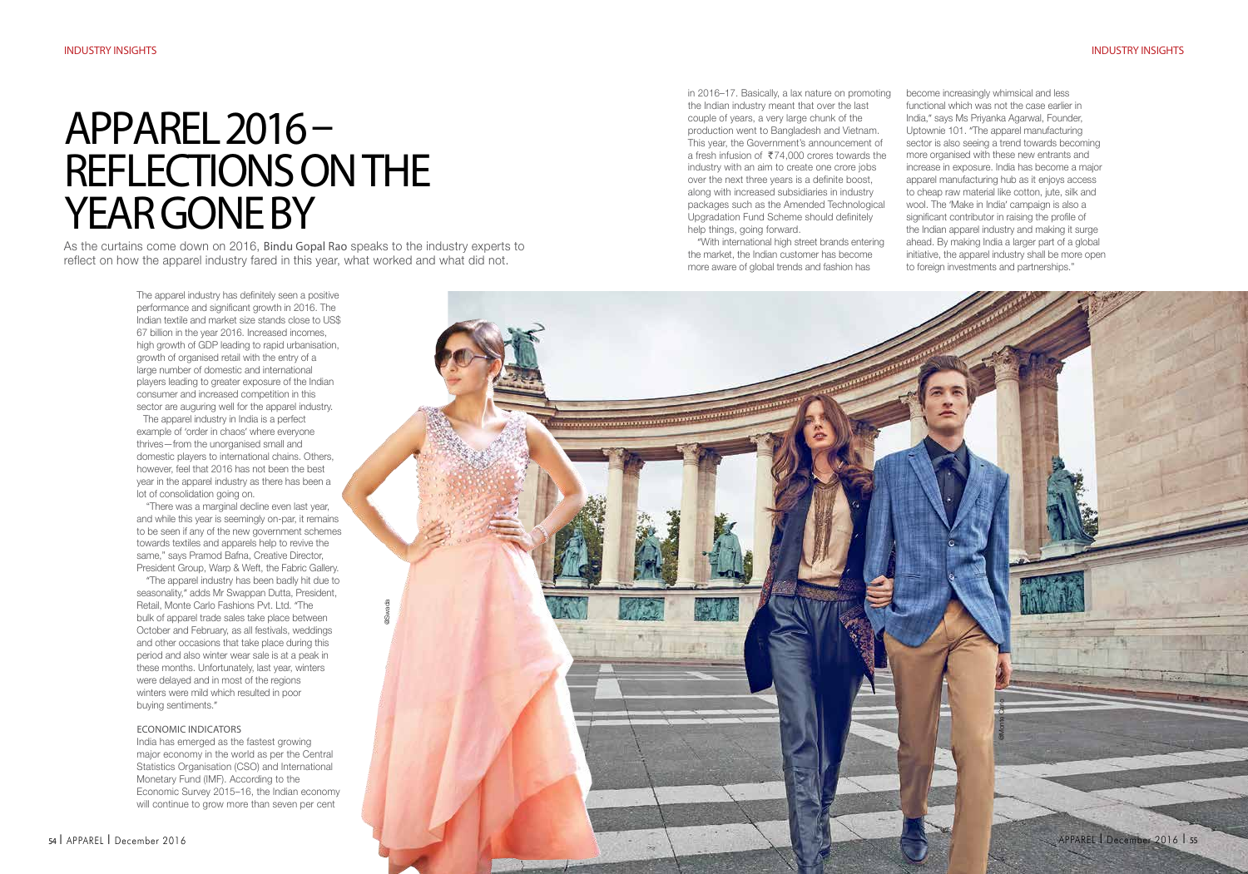# Apparel 2016 – Reflections on the YEAR GONE BY

As the curtains come down on 2016, Bindu Gopal Rao speaks to the industry experts to reflect on how the apparel industry fared in this year, what worked and what did not.

> The apparel industry has definitely seen a positive performance and significant growth in 2016. The Indian textile and market size stands close to US\$ 67 billion in the year 2016. Increased incomes, high growth of GDP leading to rapid urbanisation, growth of organised retail with the entry of a large number of domestic and international players leading to greater exposure of the Indian consumer and increased competition in this sector are auguring well for the apparel industry.

The apparel industry in India is a perfect example of 'order in chaos' where everyone thrives—from the unorganised small and domestic players to international chains. Others, however, feel that 2016 has not been the best year in the apparel industry as there has been a lot of consolidation going on.

"There was a marginal decline even last year, and while this year is seemingly on-par, it remains to be seen if any of the new government schemes towards textiles and apparels help to revive the same," says Pramod Bafna, Creative Director, President Group, Warp & Weft, the Fabric Gallery.

"The apparel industry has been badly hit due to seasonality," adds Mr Swappan Dutta, President, Retail, Monte Carlo Fashions Pvt. Ltd. "The bulk of apparel trade sales take place between October and February, as all festivals, weddings and other occasions that take place during this period and also winter wear sale is at a peak in these months. Unfortunately, last year, winters were delayed and in most of the regions winters were mild which resulted in poor buying sentiments."

## Economic Indicators

India has emerged as the fastest growing major economy in the world as per the Central Statistics Organisation (CSO) and International Monetary Fund (IMF). According to the Economic Survey 2015–16, the Indian economy will continue to grow more than seven per cent

in 2016–17. Basically, a lax nature on promoting the Indian industry meant that over the last couple of years, a very large chunk of the production went to Bangladesh and Vietnam. This year, the Government's announcement of a fresh infusion of  $\overline{574,000}$  crores towards the industry with an aim to create one crore jobs over the next three years is a definite boost, along with increased subsidiaries in industry packages such as the Amended Technological Upgradation Fund Scheme should definitely help things, going forward.

"With international high street brands entering the market, the Indian customer has become more aware of global trends and fashion has

Manuel Carlos

become increasingly whimsical and less

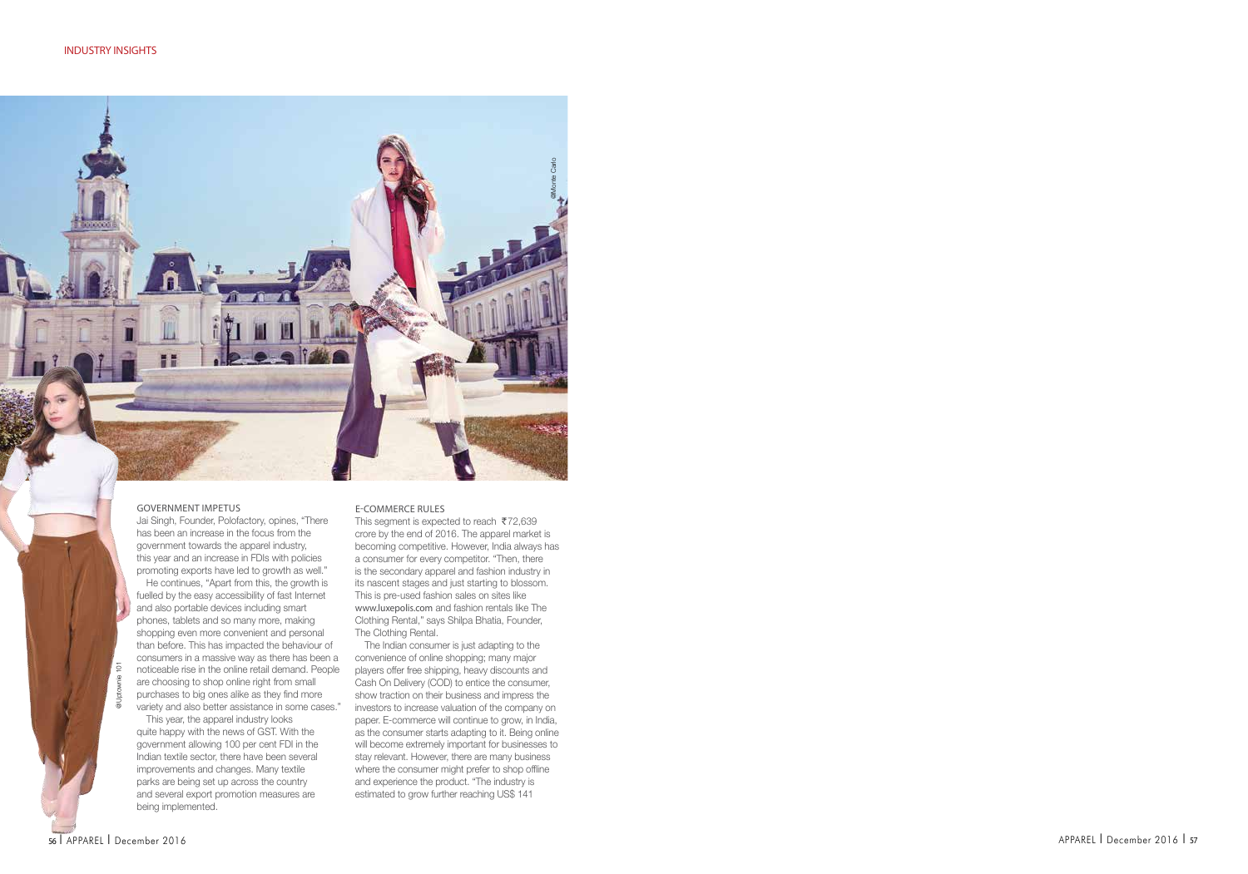# Government Impetus Jai Singh, Founder, Polofactory, opines, "There

@Uptownie 101

noticeable rise in the online retail demand. People are choosing to shop online right from small purchases to big ones alike as they find more variety and also better assistance in some cases." This year, the apparel industry looks

has been an increase in the focus from the government towards the apparel industry, this year and an increase in FDIs with policies promoting exports have led to growth as well." He continues, "Apart from this, the growth is fuelled by the easy accessibility of fast Internet and also portable devices including smart phones, tablets and so many more, making shopping even more convenient and personal than before. This has impacted the behaviour of consumers in a massive way as there has been a

quite happy with the news of GST. With the government allowing 100 per cent FDI in the Indian textile sector, there have been several improvements and changes. Many textile parks are being set up across the country and several export promotion measures are being implemented.

#### E-commerce Rules

This segment is expected to reach  $\overline{572,639}$ crore by the end of 2016. The apparel market is becoming competitive. However, India always has a consumer for every competitor. "Then, there is the secondary apparel and fashion industry in its nascent stages and just starting to blossom. This is pre-used fashion sales on sites like www.luxepolis.com and fashion rentals like The Clothing Rental," says Shilpa Bhatia, Founder, The Clothing Rental.

@Monte Carlo

The Indian consumer is just adapting to the convenience of online shopping; many major players offer free shipping, heavy discounts and Cash On Delivery (COD) to entice the consumer, show traction on their business and impress the investors to increase valuation of the company on paper. E-commerce will continue to grow, in India, as the consumer starts adapting to it. Being online will become extremely important for businesses to stay relevant. However, there are many business where the consumer might prefer to shop offline and experience the product. "The industry is estimated to grow further reaching US\$ 141